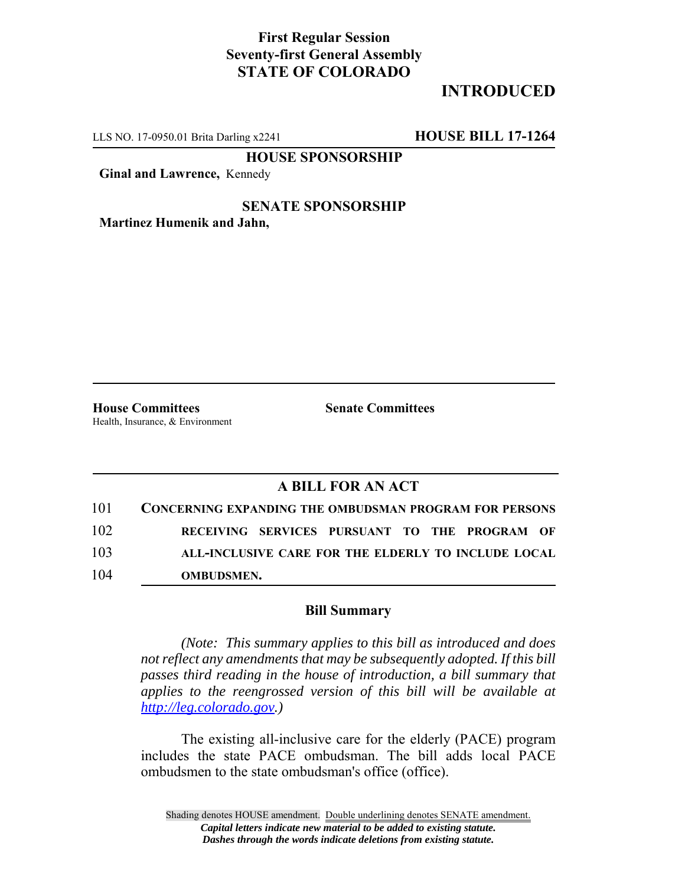## **First Regular Session Seventy-first General Assembly STATE OF COLORADO**

# **INTRODUCED**

LLS NO. 17-0950.01 Brita Darling x2241 **HOUSE BILL 17-1264**

**HOUSE SPONSORSHIP**

**Ginal and Lawrence,** Kennedy

#### **SENATE SPONSORSHIP Martinez Humenik and Jahn,**

**House Committees Senate Committees** Health, Insurance, & Environment

## **A BILL FOR AN ACT**

| 101 | <b>CONCERNING EXPANDING THE OMBUDSMAN PROGRAM FOR PERSONS</b> |
|-----|---------------------------------------------------------------|
| 102 | RECEIVING SERVICES PURSUANT TO THE PROGRAM OF                 |
| 103 | ALL-INCLUSIVE CARE FOR THE ELDERLY TO INCLUDE LOCAL           |
| 104 | <b>OMBUDSMEN.</b>                                             |

### **Bill Summary**

*(Note: This summary applies to this bill as introduced and does not reflect any amendments that may be subsequently adopted. If this bill passes third reading in the house of introduction, a bill summary that applies to the reengrossed version of this bill will be available at http://leg.colorado.gov.)*

The existing all-inclusive care for the elderly (PACE) program includes the state PACE ombudsman. The bill adds local PACE ombudsmen to the state ombudsman's office (office).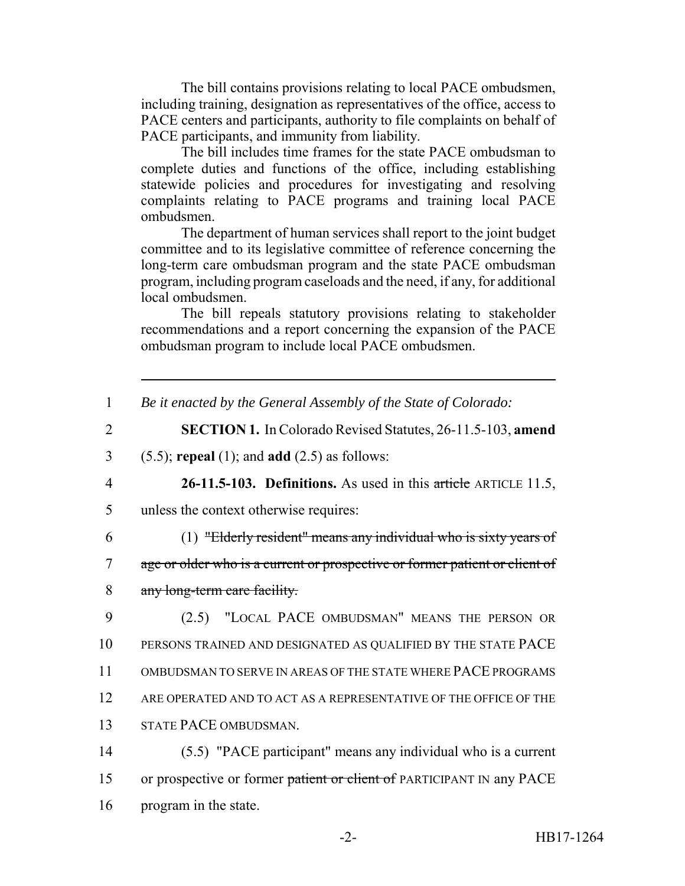The bill contains provisions relating to local PACE ombudsmen, including training, designation as representatives of the office, access to PACE centers and participants, authority to file complaints on behalf of PACE participants, and immunity from liability.

The bill includes time frames for the state PACE ombudsman to complete duties and functions of the office, including establishing statewide policies and procedures for investigating and resolving complaints relating to PACE programs and training local PACE ombudsmen.

The department of human services shall report to the joint budget committee and to its legislative committee of reference concerning the long-term care ombudsman program and the state PACE ombudsman program, including program caseloads and the need, if any, for additional local ombudsmen.

The bill repeals statutory provisions relating to stakeholder recommendations and a report concerning the expansion of the PACE ombudsman program to include local PACE ombudsmen.

| Be it enacted by the General Assembly of the State of Colorado: |  |  |
|-----------------------------------------------------------------|--|--|
|                                                                 |  |  |

- 2 **SECTION 1.** In Colorado Revised Statutes, 26-11.5-103, **amend**
- 3 (5.5); **repeal** (1); and **add** (2.5) as follows:
- 

4 **26-11.5-103. Definitions.** As used in this article ARTICLE 11.5,

- 5 unless the context otherwise requires:
- 

6 (1) "Elderly resident" means any individual who is sixty years of

7 age or older who is a current or prospective or former patient or client of

8 any long-term care facility.

 (2.5) "LOCAL PACE OMBUDSMAN" MEANS THE PERSON OR PERSONS TRAINED AND DESIGNATED AS QUALIFIED BY THE STATE PACE OMBUDSMAN TO SERVE IN AREAS OF THE STATE WHERE PACE PROGRAMS 12 ARE OPERATED AND TO ACT AS A REPRESENTATIVE OF THE OFFICE OF THE STATE PACE OMBUDSMAN.

14 (5.5) "PACE participant" means any individual who is a current 15 or prospective or former patient or client of PARTICIPANT IN any PACE 16 program in the state.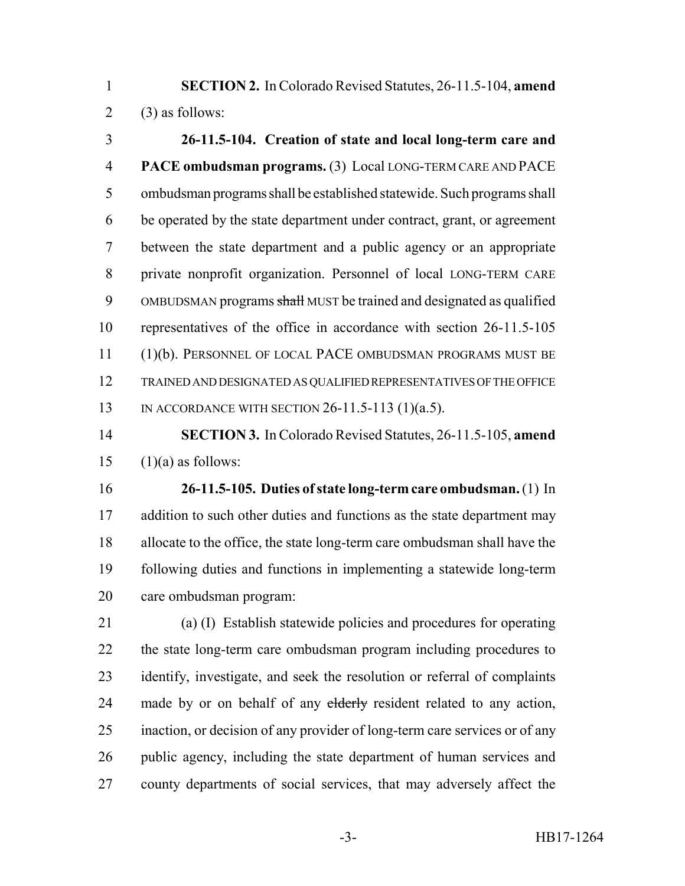**SECTION 2.** In Colorado Revised Statutes, 26-11.5-104, **amend** 2 (3) as follows:

 **26-11.5-104. Creation of state and local long-term care and PACE ombudsman programs.** (3) Local LONG-TERM CARE AND PACE ombudsman programs shall be established statewide. Such programs shall be operated by the state department under contract, grant, or agreement between the state department and a public agency or an appropriate private nonprofit organization. Personnel of local LONG-TERM CARE 9 OMBUDSMAN programs shall MUST be trained and designated as qualified representatives of the office in accordance with section 26-11.5-105 (1)(b). PERSONNEL OF LOCAL PACE OMBUDSMAN PROGRAMS MUST BE TRAINED AND DESIGNATED AS QUALIFIED REPRESENTATIVES OF THE OFFICE IN ACCORDANCE WITH SECTION 26-11.5-113 (1)(a.5).

 **SECTION 3.** In Colorado Revised Statutes, 26-11.5-105, **amend** 15  $(1)(a)$  as follows:

 **26-11.5-105. Duties of state long-term care ombudsman.** (1) In 17 addition to such other duties and functions as the state department may allocate to the office, the state long-term care ombudsman shall have the following duties and functions in implementing a statewide long-term care ombudsman program:

 (a) (I) Establish statewide policies and procedures for operating the state long-term care ombudsman program including procedures to identify, investigate, and seek the resolution or referral of complaints 24 made by or on behalf of any elderly resident related to any action, inaction, or decision of any provider of long-term care services or of any public agency, including the state department of human services and county departments of social services, that may adversely affect the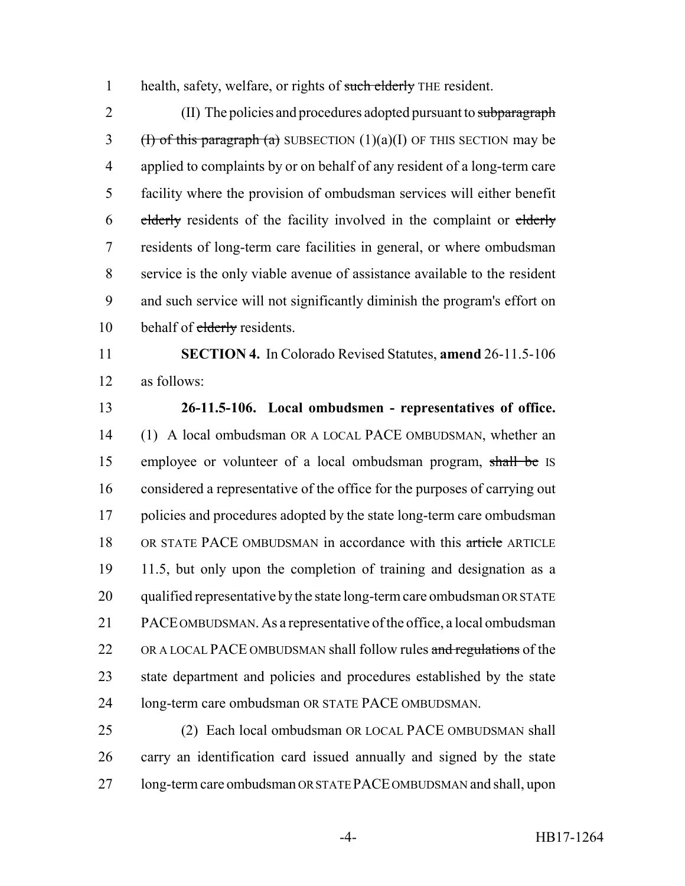1 health, safety, welfare, or rights of such elderly THE resident.

2 (II) The policies and procedures adopted pursuant to subparagraph 3 (H) of this paragraph (a) SUBSECTION  $(1)(a)(I)$  OF THIS SECTION may be applied to complaints by or on behalf of any resident of a long-term care facility where the provision of ombudsman services will either benefit 6 elderly residents of the facility involved in the complaint or elderly residents of long-term care facilities in general, or where ombudsman service is the only viable avenue of assistance available to the resident and such service will not significantly diminish the program's effort on 10 behalf of elderly residents.

 **SECTION 4.** In Colorado Revised Statutes, **amend** 26-11.5-106 as follows:

 **26-11.5-106. Local ombudsmen - representatives of office.** (1) A local ombudsman OR A LOCAL PACE OMBUDSMAN, whether an employee or volunteer of a local ombudsman program, shall be IS considered a representative of the office for the purposes of carrying out 17 policies and procedures adopted by the state long-term care ombudsman 18 OR STATE PACE OMBUDSMAN in accordance with this article ARTICLE 11.5, but only upon the completion of training and designation as a 20 qualified representative by the state long-term care ombudsman OR STATE PACE OMBUDSMAN. As a representative of the office, a local ombudsman 22 OR A LOCAL PACE OMBUDSMAN shall follow rules and regulations of the state department and policies and procedures established by the state long-term care ombudsman OR STATE PACE OMBUDSMAN.

 (2) Each local ombudsman OR LOCAL PACE OMBUDSMAN shall carry an identification card issued annually and signed by the state long-term care ombudsman OR STATE PACE OMBUDSMAN and shall, upon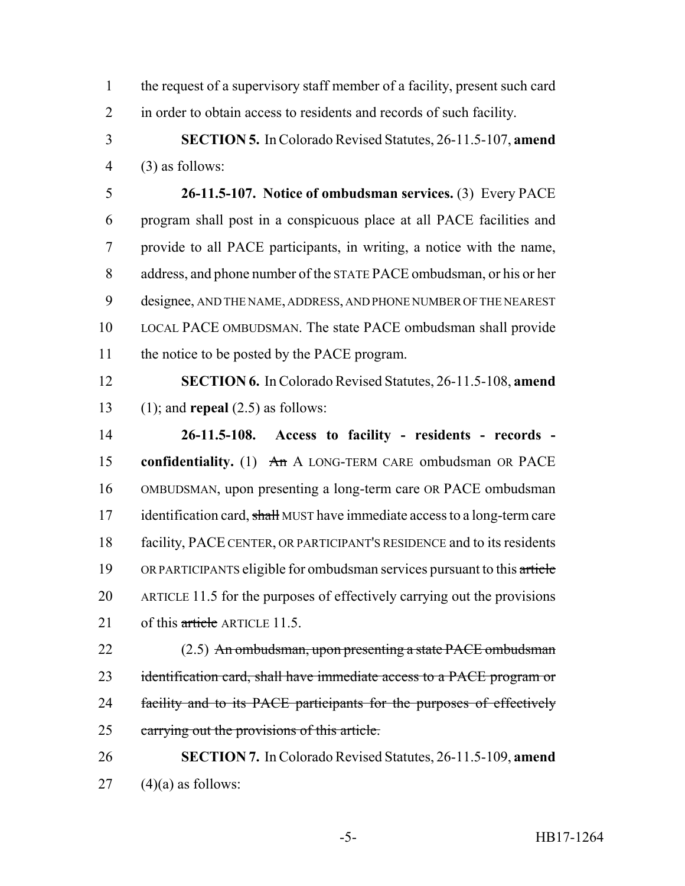the request of a supervisory staff member of a facility, present such card in order to obtain access to residents and records of such facility.

 **SECTION 5.** In Colorado Revised Statutes, 26-11.5-107, **amend** (3) as follows:

 **26-11.5-107. Notice of ombudsman services.** (3) Every PACE program shall post in a conspicuous place at all PACE facilities and provide to all PACE participants, in writing, a notice with the name, address, and phone number of the STATE PACE ombudsman, or his or her designee, AND THE NAME, ADDRESS, AND PHONE NUMBER OF THE NEAREST LOCAL PACE OMBUDSMAN. The state PACE ombudsman shall provide 11 the notice to be posted by the PACE program.

 **SECTION 6.** In Colorado Revised Statutes, 26-11.5-108, **amend** (1); and **repeal** (2.5) as follows:

 **26-11.5-108. Access to facility - residents - records - confidentiality.** (1) An A LONG-TERM CARE ombudsman OR PACE OMBUDSMAN, upon presenting a long-term care OR PACE ombudsman 17 identification card, shall MUST have immediate access to a long-term care facility, PACE CENTER, OR PARTICIPANT'S RESIDENCE and to its residents 19 OR PARTICIPANTS eligible for ombudsman services pursuant to this article ARTICLE 11.5 for the purposes of effectively carrying out the provisions 21 of this article ARTICLE 11.5.

22 (2.5) An ombudsman, upon presenting a state PACE ombudsman 23 identification card, shall have immediate access to a PACE program or facility and to its PACE participants for the purposes of effectively carrying out the provisions of this article.

 **SECTION 7.** In Colorado Revised Statutes, 26-11.5-109, **amend** (4)(a) as follows: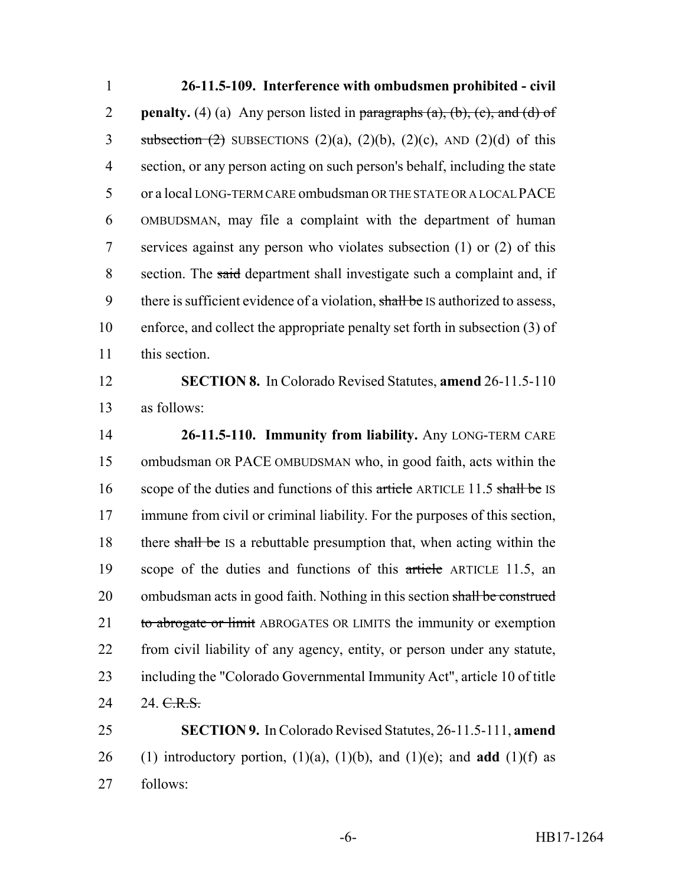**26-11.5-109. Interference with ombudsmen prohibited - civil penalty.** (4) (a) Any person listed in paragraphs  $(a)$ ,  $(b)$ ,  $(c)$ , and  $(d)$  of 3 subsection  $(2)$  SUBSECTIONS  $(2)(a)$ ,  $(2)(b)$ ,  $(2)(c)$ , AND  $(2)(d)$  of this section, or any person acting on such person's behalf, including the state or a local LONG-TERM CARE ombudsman OR THE STATE OR A LOCAL PACE OMBUDSMAN, may file a complaint with the department of human services against any person who violates subsection (1) or (2) of this section. The said department shall investigate such a complaint and, if 9 there is sufficient evidence of a violation, shall be IS authorized to assess, enforce, and collect the appropriate penalty set forth in subsection (3) of this section.

 **SECTION 8.** In Colorado Revised Statutes, **amend** 26-11.5-110 as follows:

 **26-11.5-110. Immunity from liability.** Any LONG-TERM CARE ombudsman OR PACE OMBUDSMAN who, in good faith, acts within the 16 scope of the duties and functions of this article ARTICLE 11.5 shall be IS immune from civil or criminal liability. For the purposes of this section, 18 there shall be IS a rebuttable presumption that, when acting within the 19 scope of the duties and functions of this article ARTICLE 11.5, an 20 ombudsman acts in good faith. Nothing in this section shall be construed 21 to abrogate or limit ABROGATES OR LIMITS the immunity or exemption from civil liability of any agency, entity, or person under any statute, including the "Colorado Governmental Immunity Act", article 10 of title 24 24 <del>C.R.S.</del>

 **SECTION 9.** In Colorado Revised Statutes, 26-11.5-111, **amend** 26 (1) introductory portion,  $(1)(a)$ ,  $(1)(b)$ , and  $(1)(e)$ ; and **add**  $(1)(f)$  as follows: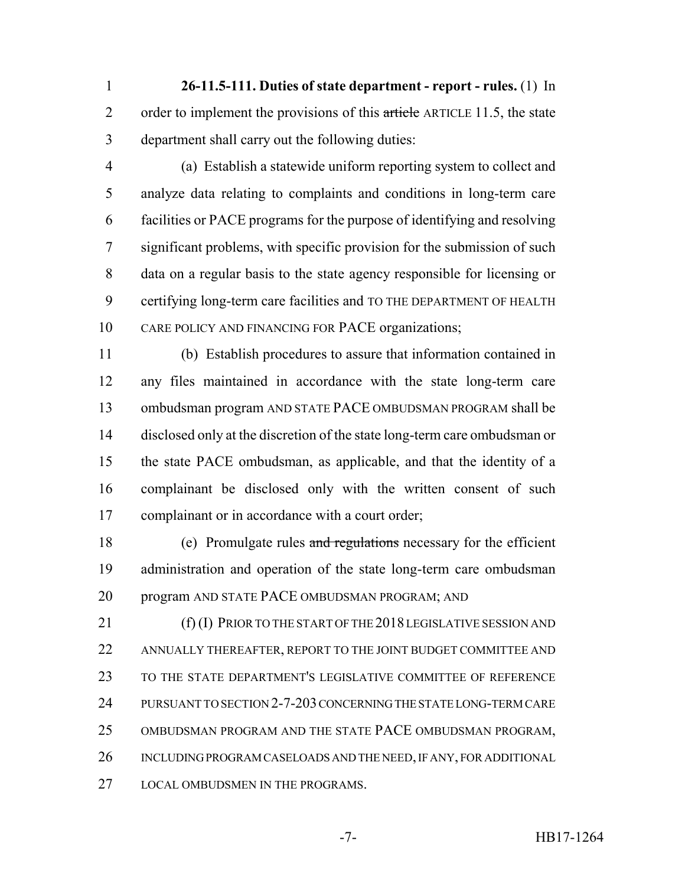**26-11.5-111. Duties of state department - report - rules.** (1) In 2 order to implement the provisions of this article ARTICLE 11.5, the state department shall carry out the following duties:

 (a) Establish a statewide uniform reporting system to collect and analyze data relating to complaints and conditions in long-term care facilities or PACE programs for the purpose of identifying and resolving significant problems, with specific provision for the submission of such data on a regular basis to the state agency responsible for licensing or certifying long-term care facilities and TO THE DEPARTMENT OF HEALTH CARE POLICY AND FINANCING FOR PACE organizations;

 (b) Establish procedures to assure that information contained in any files maintained in accordance with the state long-term care ombudsman program AND STATE PACE OMBUDSMAN PROGRAM shall be disclosed only at the discretion of the state long-term care ombudsman or the state PACE ombudsman, as applicable, and that the identity of a complainant be disclosed only with the written consent of such complainant or in accordance with a court order;

18 (e) Promulgate rules and regulations necessary for the efficient administration and operation of the state long-term care ombudsman program AND STATE PACE OMBUDSMAN PROGRAM; AND

21 (f) (I) PRIOR TO THE START OF THE 2018 LEGISLATIVE SESSION AND ANNUALLY THEREAFTER, REPORT TO THE JOINT BUDGET COMMITTEE AND TO THE STATE DEPARTMENT'S LEGISLATIVE COMMITTEE OF REFERENCE PURSUANT TO SECTION 2-7-203 CONCERNING THE STATE LONG-TERM CARE OMBUDSMAN PROGRAM AND THE STATE PACE OMBUDSMAN PROGRAM, INCLUDING PROGRAM CASELOADS AND THE NEED, IF ANY, FOR ADDITIONAL 27 LOCAL OMBUDSMEN IN THE PROGRAMS.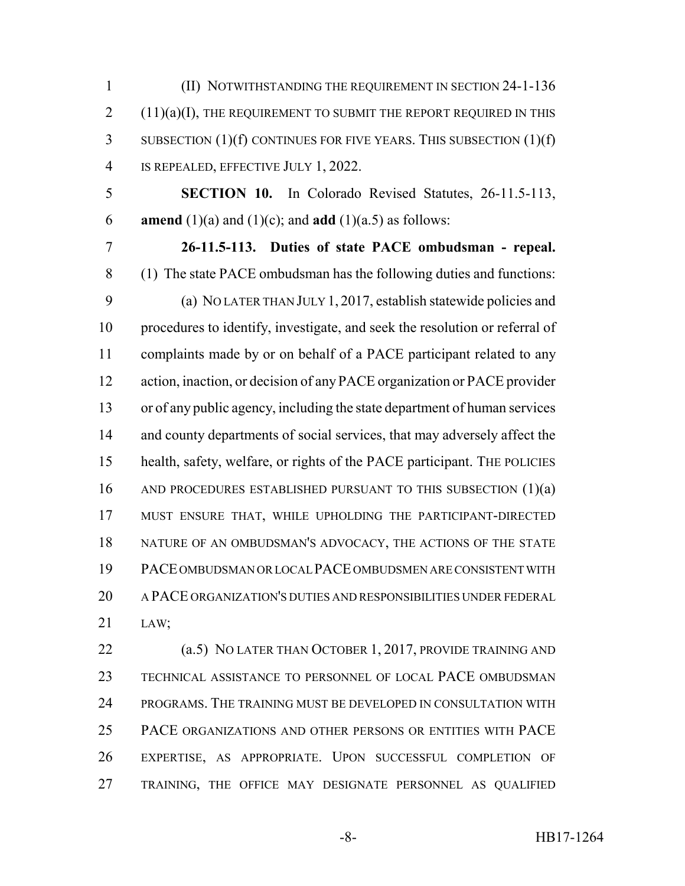(II) NOTWITHSTANDING THE REQUIREMENT IN SECTION 24-1-136  $2(11)(a)(I)$ , THE REQUIREMENT TO SUBMIT THE REPORT REQUIRED IN THIS SUBSECTION (1)(f) CONTINUES FOR FIVE YEARS. THIS SUBSECTION (1)(f) IS REPEALED, EFFECTIVE JULY 1, 2022.

 **SECTION 10.** In Colorado Revised Statutes, 26-11.5-113, **amend** (1)(a) and (1)(c); and **add** (1)(a.5) as follows:

 **26-11.5-113. Duties of state PACE ombudsman - repeal.** (1) The state PACE ombudsman has the following duties and functions: (a) NO LATER THAN JULY 1, 2017, establish statewide policies and procedures to identify, investigate, and seek the resolution or referral of complaints made by or on behalf of a PACE participant related to any action, inaction, or decision of any PACE organization or PACE provider or of any public agency, including the state department of human services 14 and county departments of social services, that may adversely affect the health, safety, welfare, or rights of the PACE participant. THE POLICIES 16 AND PROCEDURES ESTABLISHED PURSUANT TO THIS SUBSECTION (1)(a) MUST ENSURE THAT, WHILE UPHOLDING THE PARTICIPANT-DIRECTED 18 NATURE OF AN OMBUDSMAN'S ADVOCACY, THE ACTIONS OF THE STATE PACE OMBUDSMAN OR LOCAL PACE OMBUDSMEN ARE CONSISTENT WITH A PACE ORGANIZATION'S DUTIES AND RESPONSIBILITIES UNDER FEDERAL LAW;

**(a.5) NO LATER THAN OCTOBER 1, 2017, PROVIDE TRAINING AND**  TECHNICAL ASSISTANCE TO PERSONNEL OF LOCAL PACE OMBUDSMAN PROGRAMS. THE TRAINING MUST BE DEVELOPED IN CONSULTATION WITH PACE ORGANIZATIONS AND OTHER PERSONS OR ENTITIES WITH PACE EXPERTISE, AS APPROPRIATE. UPON SUCCESSFUL COMPLETION OF TRAINING, THE OFFICE MAY DESIGNATE PERSONNEL AS QUALIFIED